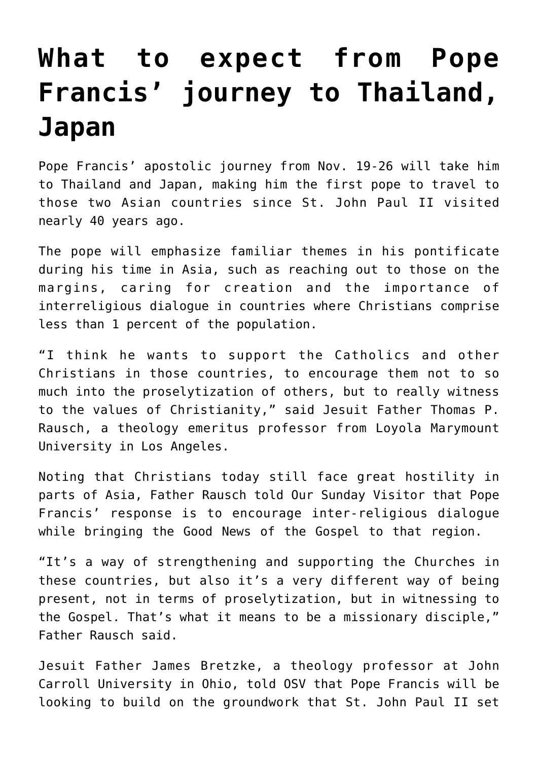## **[What to expect from Pope](https://www.osvnews.com/2019/11/05/what-to-expect-from-pope-francis-journey-to-thailand-japan/) [Francis' journey to Thailand,](https://www.osvnews.com/2019/11/05/what-to-expect-from-pope-francis-journey-to-thailand-japan/) [Japan](https://www.osvnews.com/2019/11/05/what-to-expect-from-pope-francis-journey-to-thailand-japan/)**

Pope Francis' apostolic journey from Nov. 19-26 will take him to Thailand and Japan, making him the first pope to travel to those two Asian countries since St. John Paul II visited nearly 40 years ago.

The pope will emphasize familiar themes in his pontificate during his time in Asia, such as reaching out to those on the margins, caring for creation and the importance of interreligious dialogue in countries where Christians comprise less than 1 percent of the population.

"I think he wants to support the Catholics and other Christians in those countries, to encourage them not to so much into the proselytization of others, but to really witness to the values of Christianity," said Jesuit Father Thomas P. Rausch, a theology emeritus professor from Loyola Marymount University in Los Angeles.

Noting that Christians today still face great hostility in parts of Asia, Father Rausch told Our Sunday Visitor that Pope Francis' response is to encourage inter-religious dialogue while bringing the Good News of the Gospel to that region.

"It's a way of strengthening and supporting the Churches in these countries, but also it's a very different way of being present, not in terms of proselytization, but in witnessing to the Gospel. That's what it means to be a missionary disciple," Father Rausch said.

Jesuit Father James Bretzke, a theology professor at John Carroll University in Ohio, told OSV that Pope Francis will be looking to build on the groundwork that St. John Paul II set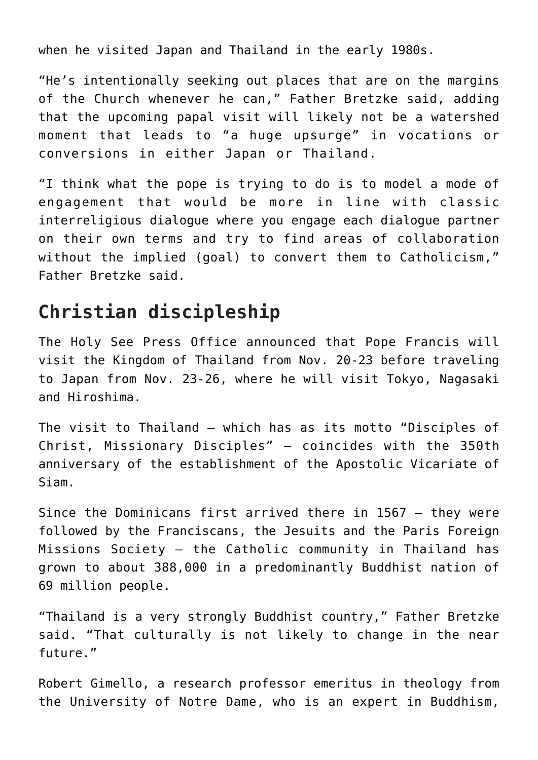when he visited Japan and Thailand in the early 1980s.

"He's intentionally seeking out places that are on the margins of the Church whenever he can," Father Bretzke said, adding that the upcoming papal visit will likely not be a watershed moment that leads to "a huge upsurge" in vocations or conversions in either Japan or Thailand.

"I think what the pope is trying to do is to model a mode of engagement that would be more in line with classic interreligious dialogue where you engage each dialogue partner on their own terms and try to find areas of collaboration without the implied (goal) to convert them to Catholicism," Father Bretzke said.

## **Christian discipleship**

The Holy See Press Office announced that Pope Francis will visit the Kingdom of Thailand from Nov. 20-23 before traveling to Japan from Nov. 23-26, where he will visit Tokyo, Nagasaki and Hiroshima.

The visit to Thailand — which has as its motto "Disciples of Christ, Missionary Disciples" — coincides with the 350th anniversary of the establishment of the Apostolic Vicariate of Siam.

Since the Dominicans first arrived there in 1567 — they were followed by the Franciscans, the Jesuits and the Paris Foreign Missions Society — the Catholic community in Thailand has grown to about 388,000 in a predominantly Buddhist nation of 69 million people.

"Thailand is a very strongly Buddhist country," Father Bretzke said. "That culturally is not likely to change in the near future."

Robert Gimello, a research professor emeritus in theology from the University of Notre Dame, who is an expert in Buddhism,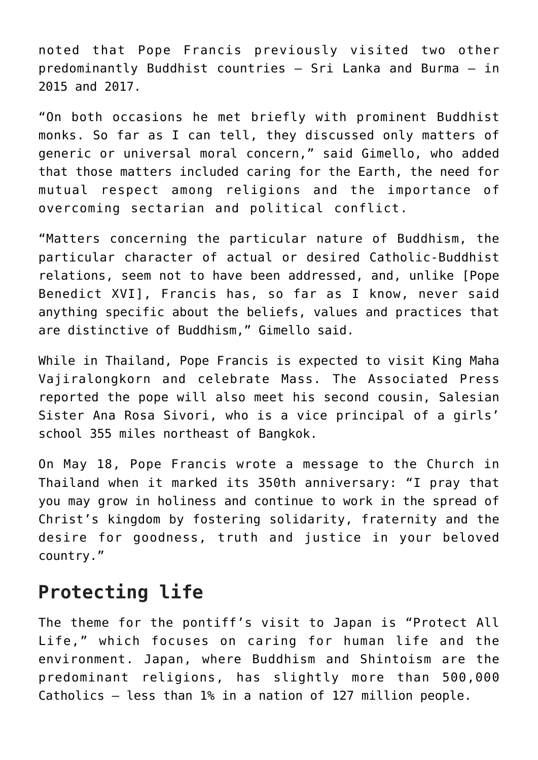noted that Pope Francis previously visited two other predominantly Buddhist countries — Sri Lanka and Burma — in 2015 and 2017.

"On both occasions he met briefly with prominent Buddhist monks. So far as I can tell, they discussed only matters of generic or universal moral concern," said Gimello, who added that those matters included caring for the Earth, the need for mutual respect among religions and the importance of overcoming sectarian and political conflict.

"Matters concerning the particular nature of Buddhism, the particular character of actual or desired Catholic-Buddhist relations, seem not to have been addressed, and, unlike [Pope Benedict XVI], Francis has, so far as I know, never said anything specific about the beliefs, values and practices that are distinctive of Buddhism," Gimello said.

While in Thailand, Pope Francis is expected to visit King Maha Vajiralongkorn and celebrate Mass. The Associated Press reported the pope will also meet his second cousin, Salesian Sister Ana Rosa Sivori, who is a vice principal of a girls' school 355 miles northeast of Bangkok.

On May 18, Pope Francis wrote a message to the Church in Thailand when it marked its 350th anniversary: "I pray that you may grow in holiness and continue to work in the spread of Christ's kingdom by fostering solidarity, fraternity and the desire for goodness, truth and justice in your beloved country."

## **Protecting life**

The theme for the pontiff's visit to Japan is "Protect All Life," which focuses on caring for human life and the environment. Japan, where Buddhism and Shintoism are the predominant religions, has slightly more than 500,000 Catholics — less than 1% in a nation of 127 million people.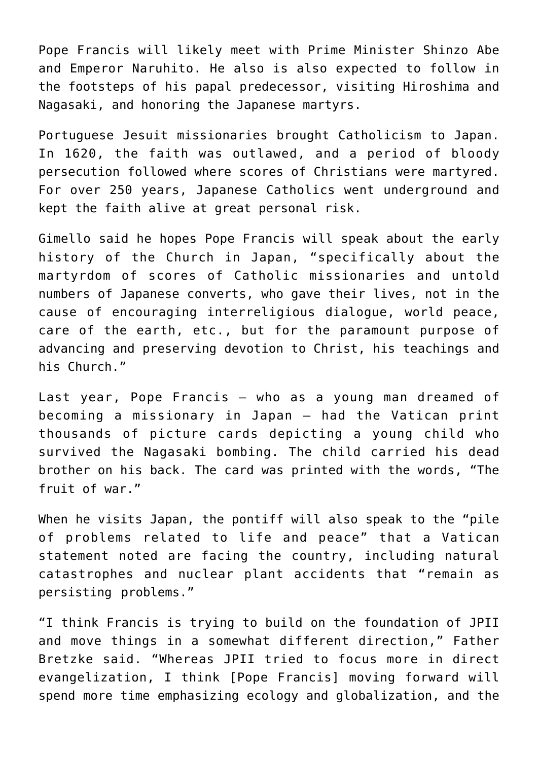Pope Francis will likely meet with Prime Minister Shinzo Abe and Emperor Naruhito. He also is also expected to follow in the footsteps of his papal predecessor, visiting Hiroshima and Nagasaki, and honoring the Japanese martyrs.

Portuguese Jesuit missionaries brought Catholicism to Japan. In 1620, the faith was outlawed, and a period of bloody persecution followed where scores of Christians were martyred. For over 250 years, Japanese Catholics went underground and kept the faith alive at great personal risk.

Gimello said he hopes Pope Francis will speak about the early history of the Church in Japan, "specifically about the martyrdom of scores of Catholic missionaries and untold numbers of Japanese converts, who gave their lives, not in the cause of encouraging interreligious dialogue, world peace, care of the earth, etc., but for the paramount purpose of advancing and preserving devotion to Christ, his teachings and his Church."

Last year, Pope Francis — who as a young man dreamed of becoming a missionary in Japan — had the Vatican print thousands of picture cards depicting a young child who survived the Nagasaki bombing. The child carried his dead brother on his back. The card was printed with the words, "The fruit of war."

When he visits Japan, the pontiff will also speak to the "pile of problems related to life and peace" that a Vatican statement noted are facing the country, including natural catastrophes and nuclear plant accidents that "remain as persisting problems."

"I think Francis is trying to build on the foundation of JPII and move things in a somewhat different direction," Father Bretzke said. "Whereas JPII tried to focus more in direct evangelization, I think [Pope Francis] moving forward will spend more time emphasizing ecology and globalization, and the